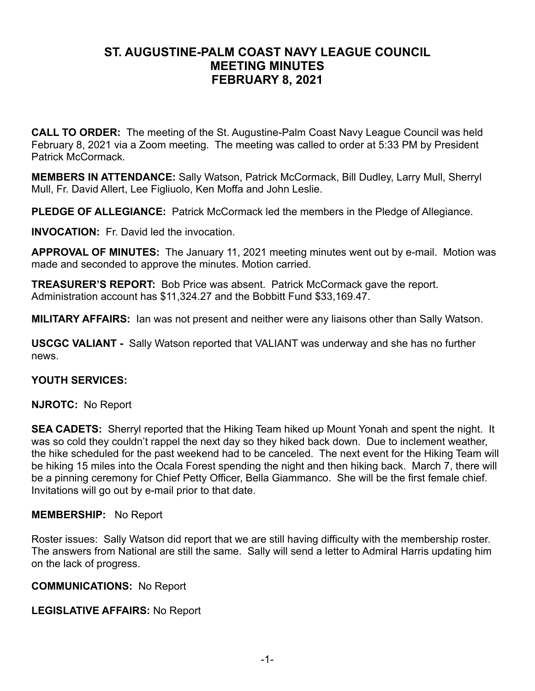# **ST. AUGUSTINE-PALM COAST NAVY LEAGUE COUNCIL MEETING MINUTES FEBRUARY 8, 2021**

**CALL TO ORDER:** The meeting of the St. Augustine-Palm Coast Navy League Council was held February 8, 2021 via a Zoom meeting. The meeting was called to order at 5:33 PM by President Patrick McCormack.

**MEMBERS IN ATTENDANCE:** Sally Watson, Patrick McCormack, Bill Dudley, Larry Mull, Sherryl Mull, Fr. David Allert, Lee Figliuolo, Ken Moffa and John Leslie.

**PLEDGE OF ALLEGIANCE:** Patrick McCormack led the members in the Pledge of Allegiance.

**INVOCATION:** Fr. David led the invocation.

**APPROVAL OF MINUTES:** The January 11, 2021 meeting minutes went out by e-mail. Motion was made and seconded to approve the minutes. Motion carried.

**TREASURER'S REPORT:** Bob Price was absent. Patrick McCormack gave the report. Administration account has \$11,324.27 and the Bobbitt Fund \$33,169.47.

**MILITARY AFFAIRS:** Ian was not present and neither were any liaisons other than Sally Watson.

**USCGC VALIANT -** Sally Watson reported that VALIANT was underway and she has no further news.

### **YOUTH SERVICES:**

### **NJROTC:** No Report

**SEA CADETS:** Sherryl reported that the Hiking Team hiked up Mount Yonah and spent the night. It was so cold they couldn't rappel the next day so they hiked back down. Due to inclement weather, the hike scheduled for the past weekend had to be canceled. The next event for the Hiking Team will be hiking 15 miles into the Ocala Forest spending the night and then hiking back. March 7, there will be a pinning ceremony for Chief Petty Officer, Bella Giammanco. She will be the first female chief. Invitations will go out by e-mail prior to that date.

### **MEMBERSHIP:** No Report

Roster issues: Sally Watson did report that we are still having difficulty with the membership roster. The answers from National are still the same. Sally will send a letter to Admiral Harris updating him on the lack of progress.

**COMMUNICATIONS:** No Report

**LEGISLATIVE AFFAIRS:** No Report